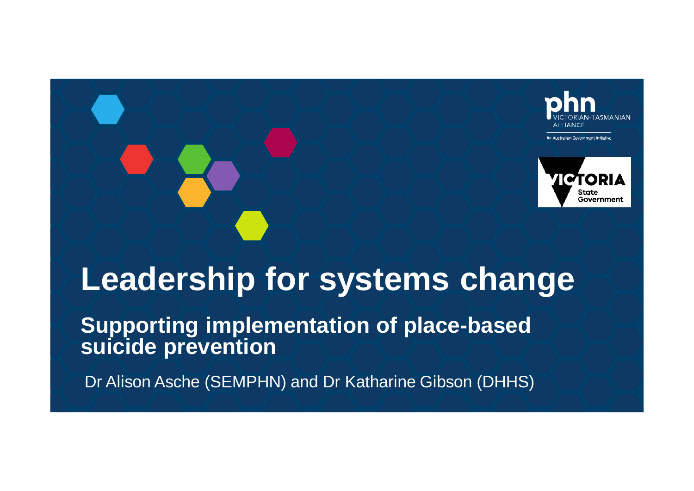



# **Leadership for systems change**

**Supporting implementation of place-based suicide prevention**

Dr Alison Asche (SEMPHN) and Dr Katharine Gibson (DHHS)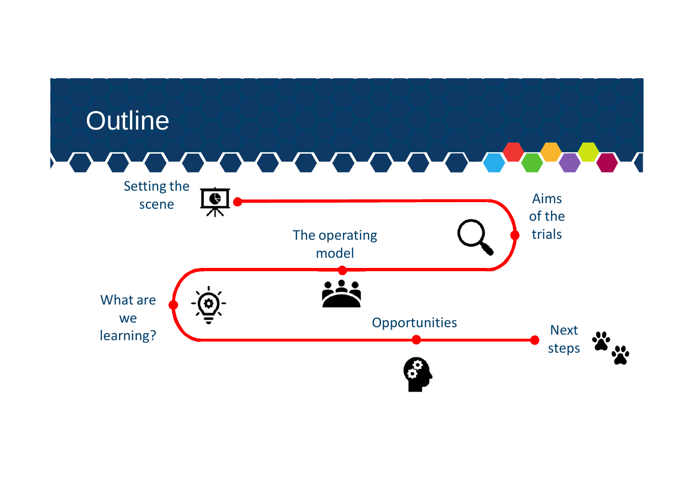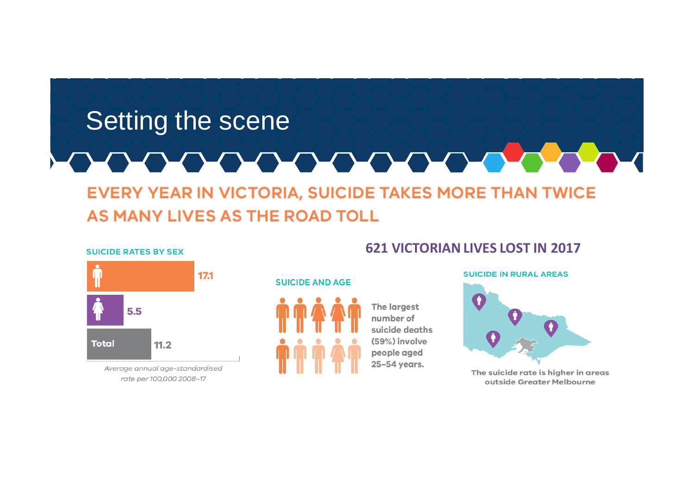#### Setting the scene LO DO DO DO **DODD DE EVERY YEAR IN VICTORIA, SUICIDE TAKES MORE THAN TWICE**

#### AS MANY LIVES AS THE ROAD TOLL

#### **SUICIDE RATES BY SEX**



Average annual age-standardised rate per 100,000 2008-17

#### **621 VICTORIAN LIVES LOST IN 2017**

#### **SUICIDE AND AGE**



**The largest** number of suicide deaths (59%) involve people aged 25-54 years.



The suicide rate is higher in areas outside Greater Melbourne

**SUICIDE IN RURAL AREAS**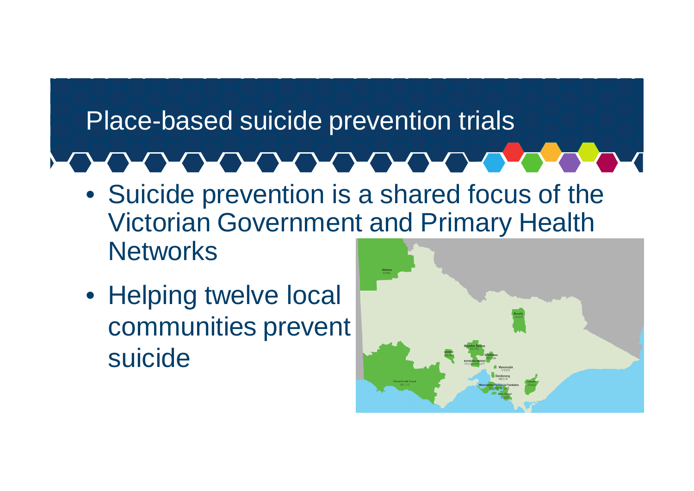# Place-based suicide prevention trials

#### **LOUISIAN DE L'AUTRES** <u> De Sant</u>

- Suicide prevention is a shared focus of the Victorian Government and Primary Health **Networks**
- Helping twelve local communities prevent suicide

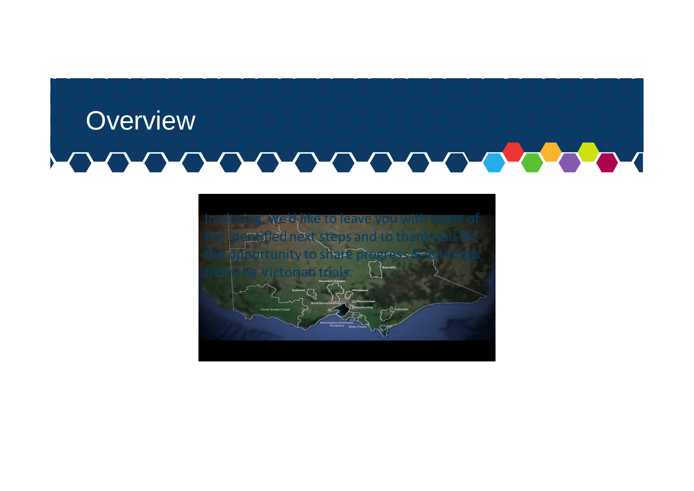# **Overview**

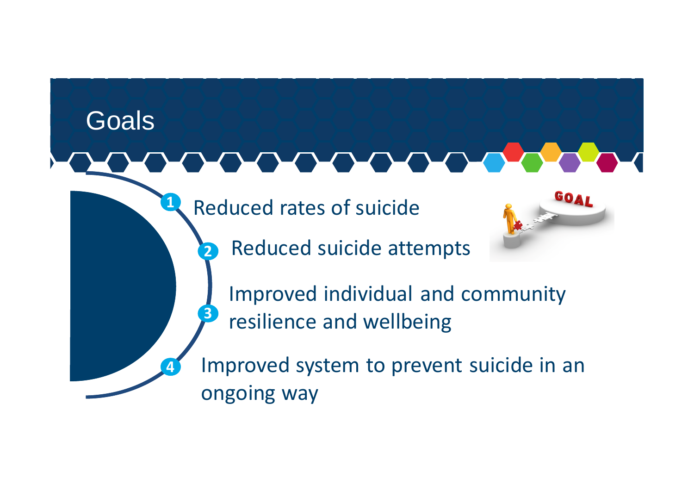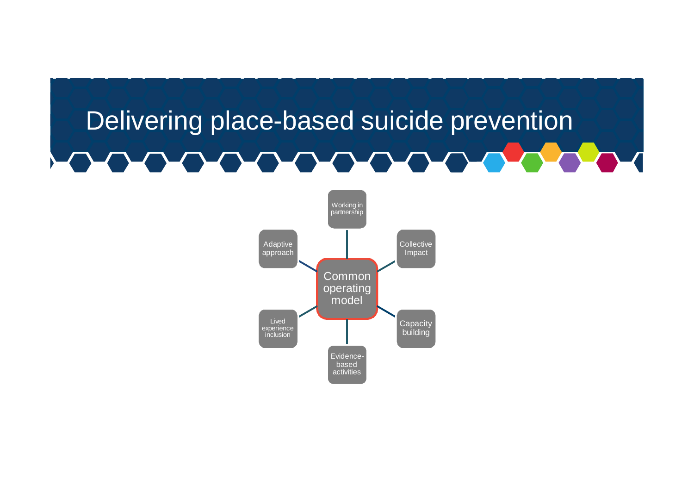#### Delivering place-based suicide prevention **PLANA** <u>and a state</u>

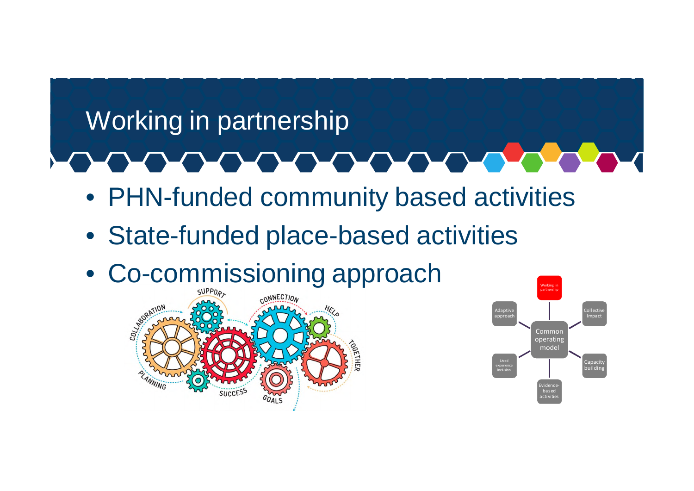### Working in partnership

- PHN-funded community based activities
- State-funded place-based activities
- Co-commissioning approach



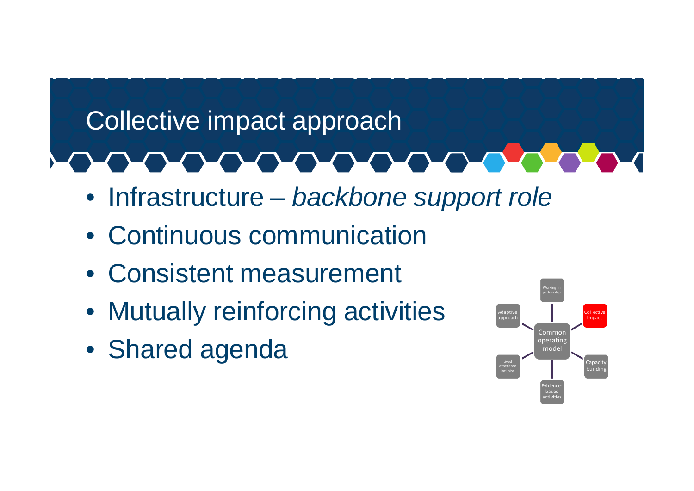# Collective impact approach **UNITED**

- Infrastructure *backbone support role*
- Continuous communication
- Consistent measurement
- Mutually reinforcing activities
- Shared agenda

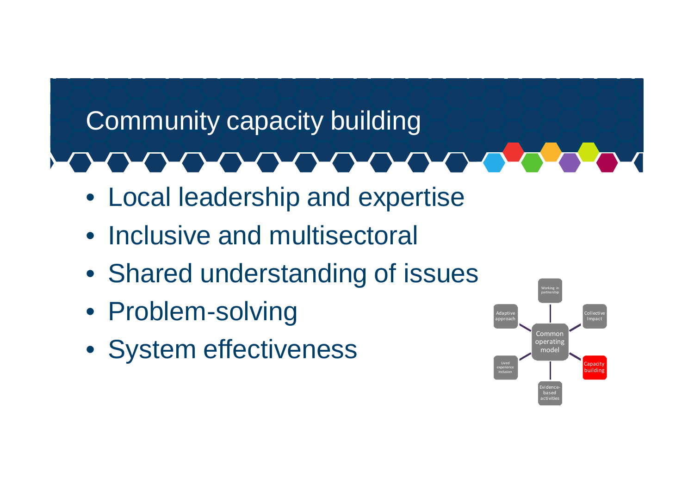# Community capacity building

- Local leadership and expertise
- Inclusive and multisectoral
- Shared understanding of issues
- Problem-solving
- System effectiveness

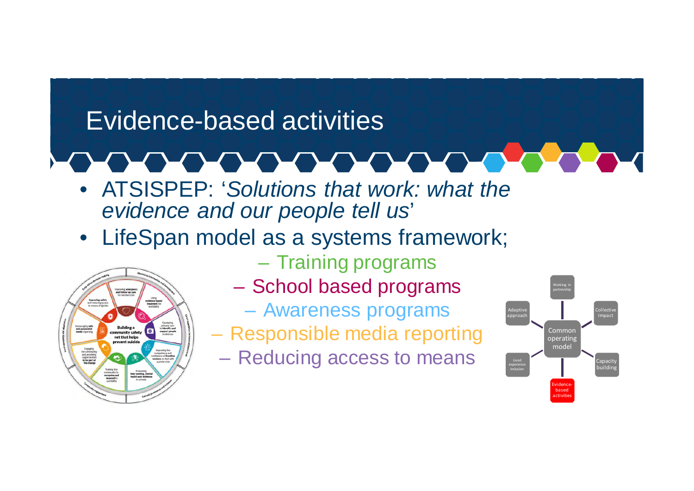### Evidence-based activities

- ATSISPEP: '*Solutions that work: what the evidence and our people tell us*'
- LifeSpan model as a systems framework;



- Training programs
- School based programs
	- Awareness programs
- Responsible media reporting
	- Reducing access to means

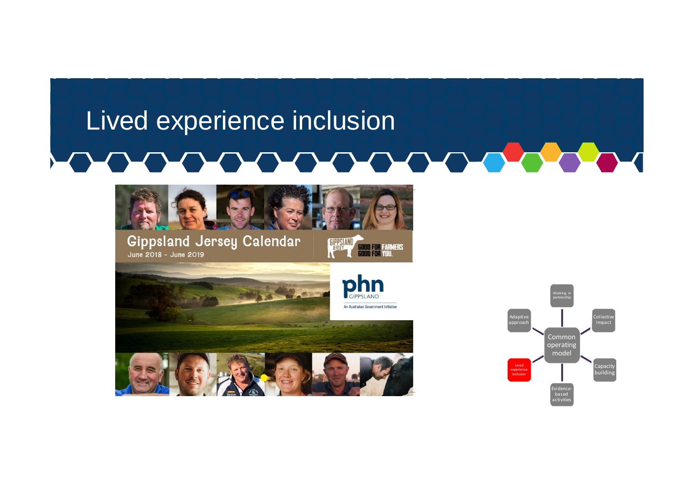### Lived experience inclusion <u>and and the set of the set of the set of the set of the set of the set of the set of the set of the set of the </u>



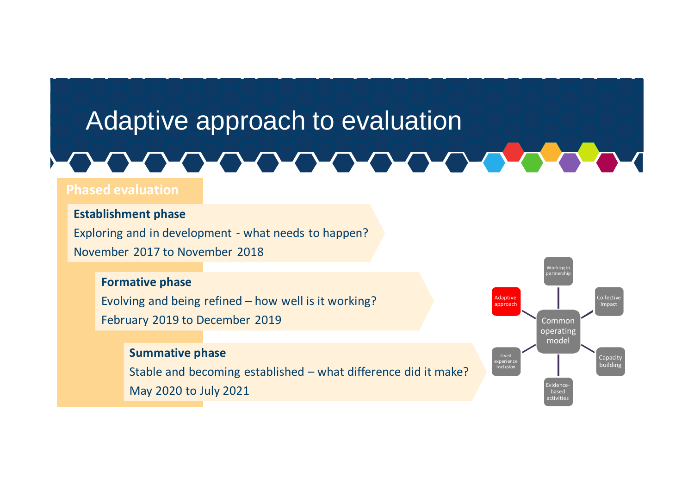### Adaptive approach to evaluation

# LO DO DO DO DO DO

#### **Phased evaluation**

#### **Establishment phase**

Exploring and in development - what needs to happen? November 2017 to November 2018

#### **Formative phase**

Evolving and being refined – how well is it working? February 2019 to December 2019

#### **Summative phase**

Stable and becoming established – what difference did it make? May 2020 to July 2021

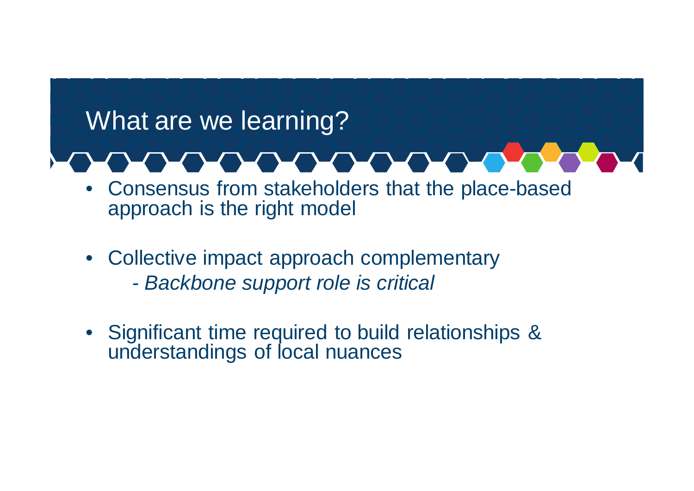## What are we learning?

- Consensus from stakeholders that the place-based approach is the right model
- Collective impact approach complementary *- Backbone support role is critical*
- Significant time required to build relationships & understandings of local nuances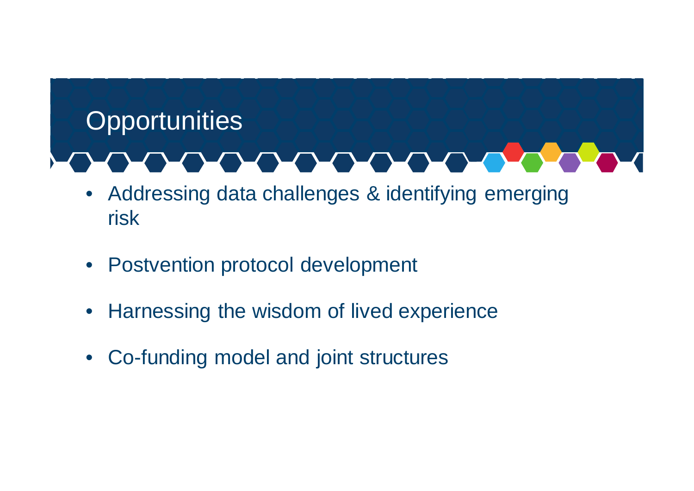# **Opportunities**

- Addressing data challenges & identifying emerging risk
- Postvention protocol development
- Harnessing the wisdom of lived experience
- Co-funding model and joint structures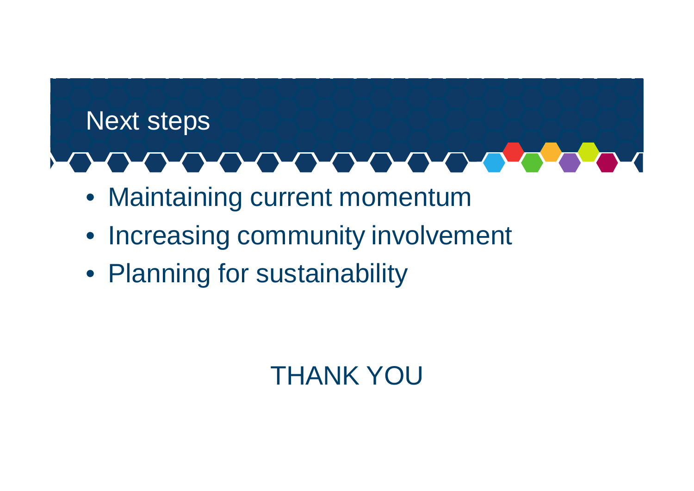# Next steps an an an an an an

- Maintaining current momentum
- Increasing community involvement
- Planning for sustainability

# THANK YOU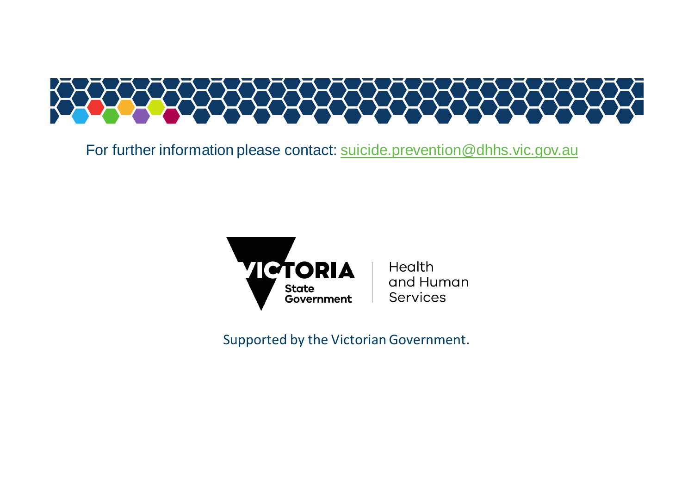

For further information please contact: suicide.prevention@dhhs.vic.gov.au



Supported by the Victorian Government.